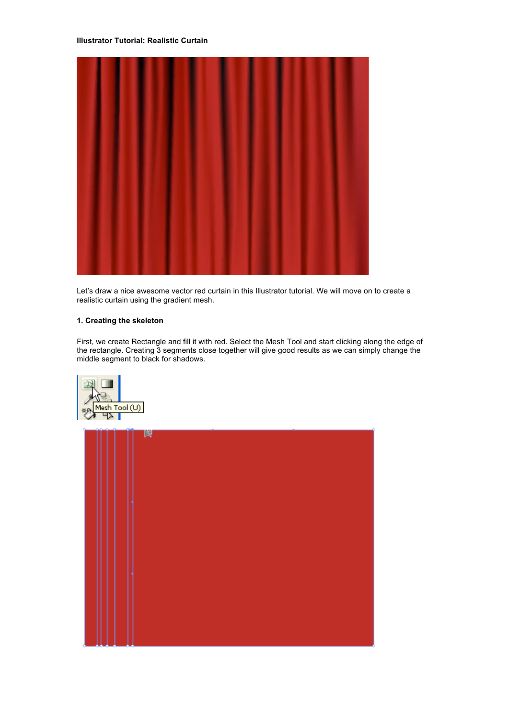#### **Illustrator Tutorial: Realistic Curtain**



Let's draw a nice awesome vector red curtain in this Illustrator tutorial. We will move on to create a realistic curtain using the gradient mesh.

### **1. Creating the skeleton**

First, we create Rectangle and fill it with red. Select the Mesh Tool and start clicking along the edge of the rectangle. Creating 3 segments close together will give good results as we can simply change the middle segment to black for shadows.



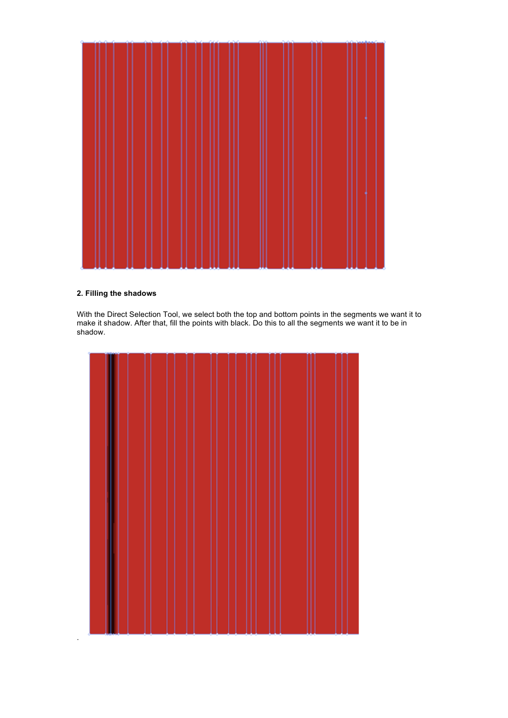

## **2. Filling the shadows**

With the Direct Selection Tool, we select both the top and bottom points in the segments we want it to make it shadow. After that, fill the points with black. Do this to all the segments we want it to be in shadow.

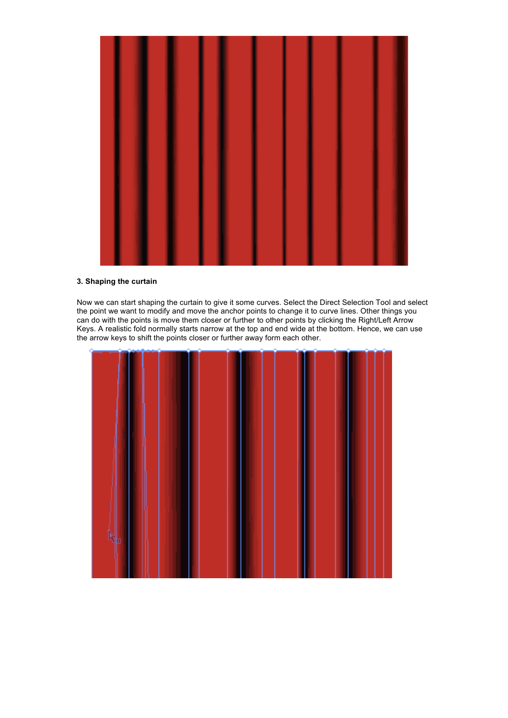

### **3. Shaping the curtain**

Now we can start shaping the curtain to give it some curves. Select the Direct Selection Tool and select the point we want to modify and move the anchor points to change it to curve lines. Other things you can do with the points is move them closer or further to other points by clicking the Right/Left Arrow Keys. A realistic fold normally starts narrow at the top and end wide at the bottom. Hence, we can use the arrow keys to shift the points closer or further away form each other.

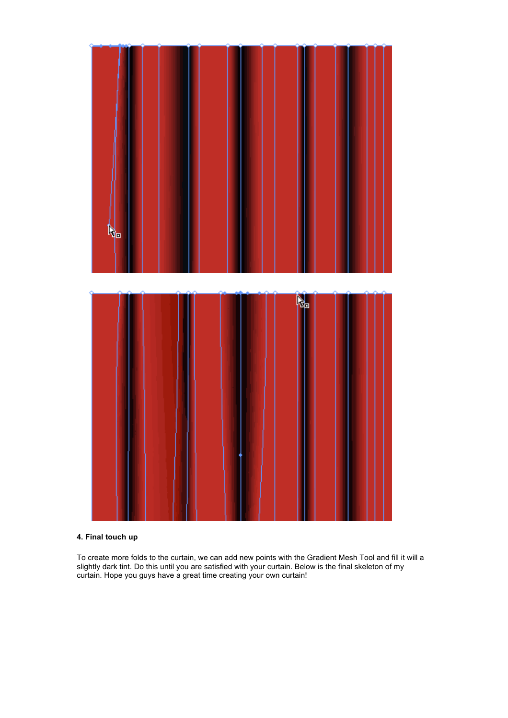

# **4. Final touch up**

To create more folds to the curtain, we can add new points with the Gradient Mesh Tool and fill it will a slightly dark tint. Do this until you are satisfied with your curtain. Below is the final skeleton of my curtain. Hope you guys have a great time creating your own curtain!